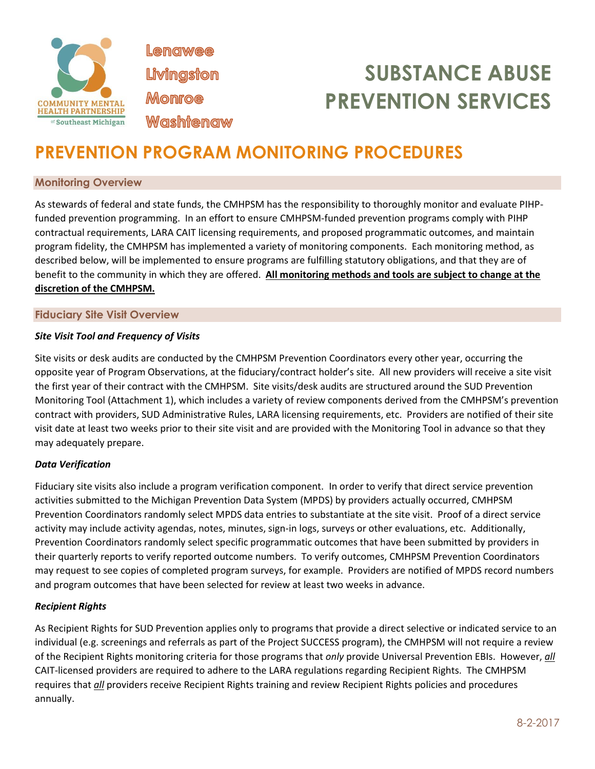

**Lenawee** Livingston **Monroe Washtenaw** 

# **SUBSTANCE ABUSE PREVENTION SERVICES**

# **PREVENTION PROGRAM MONITORING PROCEDURES**

# **Monitoring Overview**

As stewards of federal and state funds, the CMHPSM has the responsibility to thoroughly monitor and evaluate PIHPfunded prevention programming. In an effort to ensure CMHPSM-funded prevention programs comply with PIHP contractual requirements, LARA CAIT licensing requirements, and proposed programmatic outcomes, and maintain program fidelity, the CMHPSM has implemented a variety of monitoring components. Each monitoring method, as described below, will be implemented to ensure programs are fulfilling statutory obligations, and that they are of benefit to the community in which they are offered. **All monitoring methods and tools are subject to change at the discretion of the CMHPSM.** 

### **Fiduciary Site Visit Overview**

# *Site Visit Tool and Frequency of Visits*

Site visits or desk audits are conducted by the CMHPSM Prevention Coordinators every other year, occurring the opposite year of Program Observations, at the fiduciary/contract holder's site. All new providers will receive a site visit the first year of their contract with the CMHPSM. Site visits/desk audits are structured around the SUD Prevention Monitoring Tool (Attachment 1), which includes a variety of review components derived from the CMHPSM's prevention contract with providers, SUD Administrative Rules, LARA licensing requirements, etc. Providers are notified of their site visit date at least two weeks prior to their site visit and are provided with the Monitoring Tool in advance so that they may adequately prepare.

#### *Data Verification*

Fiduciary site visits also include a program verification component. In order to verify that direct service prevention activities submitted to the Michigan Prevention Data System (MPDS) by providers actually occurred, CMHPSM Prevention Coordinators randomly select MPDS data entries to substantiate at the site visit. Proof of a direct service activity may include activity agendas, notes, minutes, sign-in logs, surveys or other evaluations, etc. Additionally, Prevention Coordinators randomly select specific programmatic outcomes that have been submitted by providers in their quarterly reports to verify reported outcome numbers. To verify outcomes, CMHPSM Prevention Coordinators may request to see copies of completed program surveys, for example. Providers are notified of MPDS record numbers and program outcomes that have been selected for review at least two weeks in advance.

#### *Recipient Rights*

As Recipient Rights for SUD Prevention applies only to programs that provide a direct selective or indicated service to an individual (e.g. screenings and referrals as part of the Project SUCCESS program), the CMHPSM will not require a review of the Recipient Rights monitoring criteria for those programs that *only* provide Universal Prevention EBIs. However, *all*  CAIT-licensed providers are required to adhere to the LARA regulations regarding Recipient Rights. The CMHPSM requires that *all* providers receive Recipient Rights training and review Recipient Rights policies and procedures annually.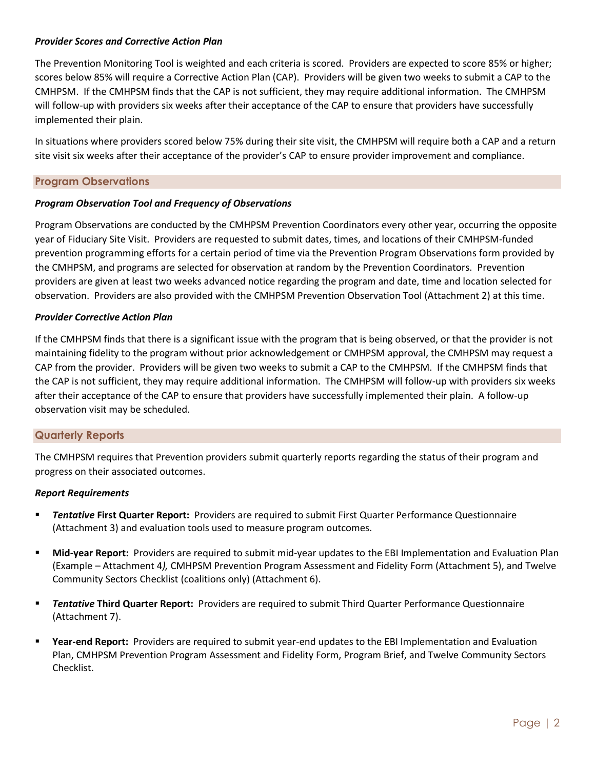#### *Provider Scores and Corrective Action Plan*

The Prevention Monitoring Tool is weighted and each criteria is scored. Providers are expected to score 85% or higher; scores below 85% will require a Corrective Action Plan (CAP). Providers will be given two weeks to submit a CAP to the CMHPSM. If the CMHPSM finds that the CAP is not sufficient, they may require additional information. The CMHPSM will follow-up with providers six weeks after their acceptance of the CAP to ensure that providers have successfully implemented their plain.

In situations where providers scored below 75% during their site visit, the CMHPSM will require both a CAP and a return site visit six weeks after their acceptance of the provider's CAP to ensure provider improvement and compliance.

# **Program Observations**

#### *Program Observation Tool and Frequency of Observations*

Program Observations are conducted by the CMHPSM Prevention Coordinators every other year, occurring the opposite year of Fiduciary Site Visit. Providers are requested to submit dates, times, and locations of their CMHPSM-funded prevention programming efforts for a certain period of time via the Prevention Program Observations form provided by the CMHPSM, and programs are selected for observation at random by the Prevention Coordinators. Prevention providers are given at least two weeks advanced notice regarding the program and date, time and location selected for observation. Providers are also provided with the CMHPSM Prevention Observation Tool (Attachment 2) at this time.

#### *Provider Corrective Action Plan*

If the CMHPSM finds that there is a significant issue with the program that is being observed, or that the provider is not maintaining fidelity to the program without prior acknowledgement or CMHPSM approval, the CMHPSM may request a CAP from the provider. Providers will be given two weeks to submit a CAP to the CMHPSM. If the CMHPSM finds that the CAP is not sufficient, they may require additional information. The CMHPSM will follow-up with providers six weeks after their acceptance of the CAP to ensure that providers have successfully implemented their plain. A follow-up observation visit may be scheduled.

# **Quarterly Reports**

The CMHPSM requires that Prevention providers submit quarterly reports regarding the status of their program and progress on their associated outcomes.

#### *Report Requirements*

- **E Tentative First Quarter Report:** Providers are required to submit First Quarter Performance Questionnaire (Attachment 3) and evaluation tools used to measure program outcomes.
- **Mid-year Report:** Providers are required to submit mid-year updates to the EBI Implementation and Evaluation Plan (Example – Attachment 4*),* CMHPSM Prevention Program Assessment and Fidelity Form (Attachment 5), and Twelve Community Sectors Checklist (coalitions only) (Attachment 6).
- **Tentative Third Quarter Report:** Providers are required to submit Third Quarter Performance Questionnaire (Attachment 7).
- Year-end Report: Providers are required to submit year-end updates to the EBI Implementation and Evaluation Plan, CMHPSM Prevention Program Assessment and Fidelity Form, Program Brief, and Twelve Community Sectors Checklist.